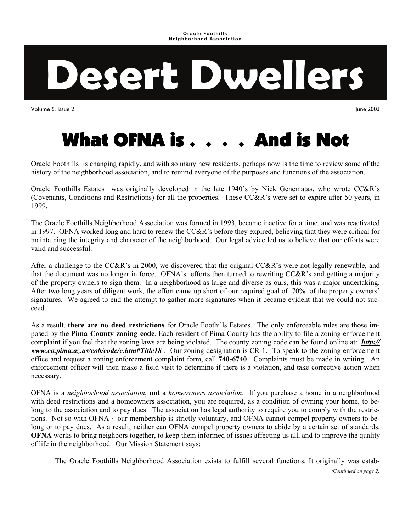**Oracle Foothills Neighborhood Association** 

# **Desert Dwellers**

Volume 6, Issue 2 June 2003

## What OFNA is . . . . And is Not

Oracle Foothills is changing rapidly, and with so many new residents, perhaps now is the time to review some of the history of the neighborhood association, and to remind everyone of the purposes and functions of the association.

Oracle Foothills Estates was originally developed in the late 1940's by Nick Genematas, who wrote CC&R's (Covenants, Conditions and Restrictions) for all the properties. These CC&R's were set to expire after 50 years, in 1999.

The Oracle Foothills Neighborhood Association was formed in 1993, became inactive for a time, and was reactivated in 1997. OFNA worked long and hard to renew the CC&R's before they expired, believing that they were critical for maintaining the integrity and character of the neighborhood. Our legal advice led us to believe that our efforts were valid and successful.

After a challenge to the CC&R's in 2000, we discovered that the original CC&R's were not legally renewable, and that the document was no longer in force. OFNA's efforts then turned to rewriting CC&R's and getting a majority of the property owners to sign them. In a neighborhood as large and diverse as ours, this was a major undertaking. After two long years of diligent work, the effort came up short of our required goal of 70% of the property owners' signatures. We agreed to end the attempt to gather more signatures when it became evident that we could not succeed.

As a result, **there are no deed restrictions** for Oracle Foothills Estates. The only enforceable rules are those imposed by the **Pima County zoning code**. Each resident of Pima County has the ability to file a zoning enforcement complaint if you feel that the zoning laws are being violated. The county zoning code can be found online at: *http:// www.co.pima.az.us/cob/code/c.htm#Title18* . Our zoning designation is CR-1. To speak to the zoning enforcement office and request a zoning enforcement complaint form, call **740-6740**. Complaints must be made in writing. An enforcement officer will then make a field visit to determine if there is a violation, and take corrective action when necessary.

OFNA is a *neighborhood association*, **not** a *homeowners association*. If you purchase a home in a neighborhood with deed restrictions and a homeowners association, you are required, as a condition of owning your home, to belong to the association and to pay dues. The association has legal authority to require you to comply with the restrictions. Not so with OFNA  $\sim$  our membership is strictly voluntary, and OFNA cannot compel property owners to belong or to pay dues. As a result, neither can OFNA compel property owners to abide by a certain set of standards. **OFNA** works to bring neighbors together, to keep them informed of issues affecting us all, and to improve the quality of life in the neighborhood. Our Mission Statement says:

The Oracle Foothills Neighborhood Association exists to fulfill several functions. It originally was estab-

*(Continued on page 2)*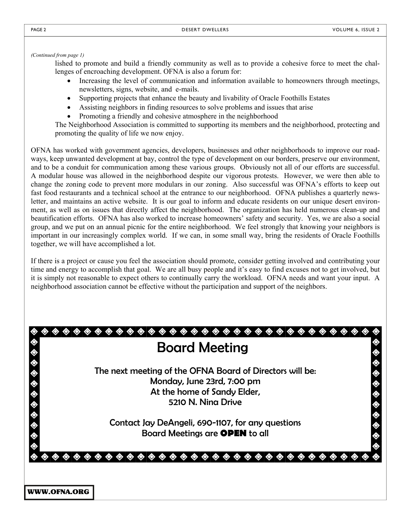*(Continued from page 1)* 

lished to promote and build a friendly community as well as to provide a cohesive force to meet the challenges of encroaching development. OFNA is also a forum for:

- Increasing the level of communication and information available to homeowners through meetings, newsletters, signs, website, and e-mails.
- Supporting projects that enhance the beauty and livability of Oracle Foothills Estates
- Assisting neighbors in finding resources to solve problems and issues that arise
- Promoting a friendly and cohesive atmosphere in the neighborhood

The Neighborhood Association is committed to supporting its members and the neighborhood, protecting and promoting the quality of life we now enjoy.

OFNA has worked with government agencies, developers, businesses and other neighborhoods to improve our roadways, keep unwanted development at bay, control the type of development on our borders, preserve our environment, and to be a conduit for communication among these various groups. Obviously not all of our efforts are successful. A modular house was allowed in the neighborhood despite our vigorous protests. However, we were then able to change the zoning code to prevent more modulars in our zoning. Also successful was OFNA's efforts to keep out fast food restaurants and a technical school at the entrance to our neighborhood. OFNA publishes a quarterly newsletter, and maintains an active website. It is our goal to inform and educate residents on our unique desert environment, as well as on issues that directly affect the neighborhood. The organization has held numerous clean-up and beautification efforts. OFNA has also worked to increase homeowners' safety and security. Yes, we are also a social group, and we put on an annual picnic for the entire neighborhood. We feel strongly that knowing your neighbors is important in our increasingly complex world. If we can, in some small way, bring the residents of Oracle Foothills together, we will have accomplished a lot.

If there is a project or cause you feel the association should promote, consider getting involved and contributing your time and energy to accomplish that goal. We are all busy people and it's easy to find excuses not to get involved, but it is simply not reasonable to expect others to continually carry the workload. OFNA needs and want your input. A neighborhood association cannot be effective without the participation and support of the neighbors.

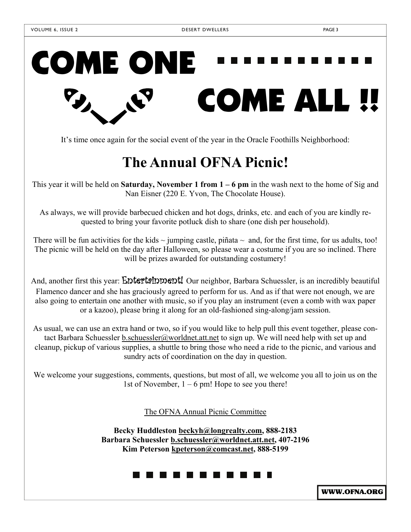## COME ONE COME ALL !!

It's time once again for the social event of the year in the Oracle Foothills Neighborhood:

### **The Annual OFNA Picnic!**

This year it will be held on **Saturday, November 1 from 1 – 6 pm** in the wash next to the home of Sig and Nan Eisner (220 E. Yvon, The Chocolate House).

As always, we will provide barbecued chicken and hot dogs, drinks, etc. and each of you are kindly requested to bring your favorite potluck dish to share (one dish per household).

There will be fun activities for the kids  $\sim$  jumping castle, piñata  $\sim$  and, for the first time, for us adults, too! The picnic will be held on the day after Halloween, so please wear a costume if you are so inclined. There will be prizes awarded for outstanding costumery!

And, another first this year: **Entertainment!** Our neighbor, Barbara Schuessler, is an incredibly beautiful Flamenco dancer and she has graciously agreed to perform for us. And as if that were not enough, we are also going to entertain one another with music, so if you play an instrument (even a comb with wax paper or a kazoo), please bring it along for an old-fashioned sing-along/jam session.

As usual, we can use an extra hand or two, so if you would like to help pull this event together, please contact Barbara Schuessler b.schuessler@worldnet.att.net to sign up. We will need help with set up and cleanup, pickup of various supplies, a shuttle to bring those who need a ride to the picnic, and various and sundry acts of coordination on the day in question.

We welcome your suggestions, comments, questions, but most of all, we welcome you all to join us on the 1st of November,  $1 - 6$  pm! Hope to see you there!

The OFNA Annual Picnic Committee

**Becky Huddleston beckyh@longrealty.com, 888-2183 Barbara Schuessler b.schuessler@worldnet.att.net, 407-2196 Kim Peterson kpeterson@comcast.net, 888-5199**

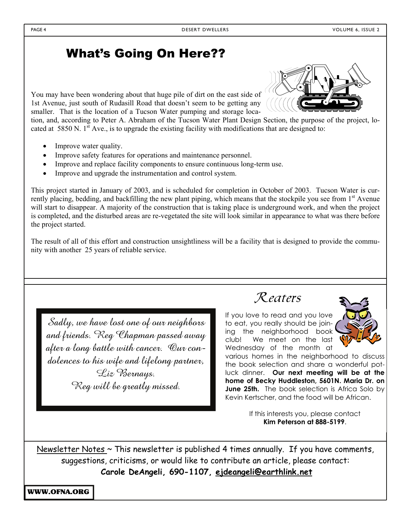#### What's Going On Here??

You may have been wondering about that huge pile of dirt on the east side of 1st Avenue, just south of Rudasill Road that doesn't seem to be getting any smaller. That is the location of a Tucson Water pumping and storage loca-



tion, and, according to Peter A. Abraham of the Tucson Water Plant Design Section, the purpose of the project, located at 5850 N.  $1^{\text{st}}$  Ave., is to upgrade the existing facility with modifications that are designed to:

- Improve water quality.
- Improve safety features for operations and maintenance personnel.
- Improve and replace facility components to ensure continuous long-term use.
- Improve and upgrade the instrumentation and control system.

This project started in January of 2003, and is scheduled for completion in October of 2003. Tucson Water is currently placing, bedding, and backfilling the new plant piping, which means that the stockpile you see from  $1<sup>st</sup>$  Avenue will start to disappear. A majority of the construction that is taking place is underground work, and when the project is completed, and the disturbed areas are re-vegetated the site will look similar in appearance to what was there before the project started.

The result of all of this effort and construction unsightliness will be a facility that is designed to provide the community with another 25 years of reliable service.

Sadly, we have lost one of our neighbors and friends. Reg Chapman passed away after a long battle with cancer. Our condolences to his wife and lifelong partner, Liz Bernays. Reg will be greatly missed.



If you love to read and you love to eat, you really should be joining the neighborhood book club! We meet on the last Wednesday of the month at



various homes in the neighborhood to discuss the book selection and share a wonderful potluck dinner. **Our next meeting will be at the home of Becky Huddleston, 5601N. Maria Dr. on June 25th.** The book selection is Africa Solo by Kevin Kertscher, and the food will be African.

> If this interests you, please contact **Kim Peterson at 888-5199**.

Newsletter Notes  $\sim$  This newsletter is published 4 times annually. If you have comments, suggestions, criticisms, or would like to contribute an article, please contact: **Carole DeAngeli, 690-1107, ejdeangeli@earthlink.net**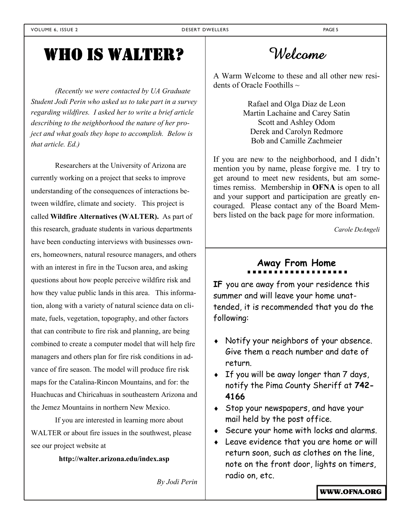## WHO IS WALTER?

*(Recently we were contacted by UA Graduate Student Jodi Perin who asked us to take part in a survey regarding wildfires. I asked her to write a brief article describing to the neighborhood the nature of her project and what goals they hope to accomplish. Below is that article. Ed.)*

Researchers at the University of Arizona are currently working on a project that seeks to improve understanding of the consequences of interactions between wildfire, climate and society. This project is called **Wildfire Alternatives (WALTER).** As part of this research, graduate students in various departments have been conducting interviews with businesses owners, homeowners, natural resource managers, and others with an interest in fire in the Tucson area, and asking questions about how people perceive wildfire risk and how they value public lands in this area. This information, along with a variety of natural science data on climate, fuels, vegetation, topography, and other factors that can contribute to fire risk and planning, are being combined to create a computer model that will help fire managers and others plan for fire risk conditions in advance of fire season. The model will produce fire risk maps for the Catalina-Rincon Mountains, and for: the Huachucas and Chiricahuas in southeastern Arizona and the Jemez Mountains in northern New Mexico.

 If you are interested in learning more about WALTER or about fire issues in the southwest, please see our project website at

**http://walter.arizona.edu/index.asp** 

*By Jodi Perin* 

Welcome

A Warm Welcome to these and all other new residents of Oracle Foothills  $\sim$ 

> Rafael and Olga Diaz de Leon Martin Lachaine and Carey Satin Scott and Ashley Odom Derek and Carolyn Redmore Bob and Camille Zachmeier

If you are new to the neighborhood, and I didn't mention you by name, please forgive me. I try to get around to meet new residents, but am sometimes remiss. Membership in **OFNA** is open to all and your support and participation are greatly encouraged. Please contact any of the Board Members listed on the back page for more information.

*Carole DeAngeli* 

## **Away From Home**

**IF** you are away from your residence this summer and will leave your home unattended, it is recommended that you do the following:

- Notify your neighbors of your absence. Give them a reach number and date of return.
- $\bullet$  If you will be away longer than 7 days, notify the Pima County Sheriff at **742- 4166**
- Stop your newspapers, and have your mail held by the post office.
- Secure your home with locks and alarms.
- Leave evidence that you are home or will return soon, such as clothes on the line, note on the front door, lights on timers, radio on, etc.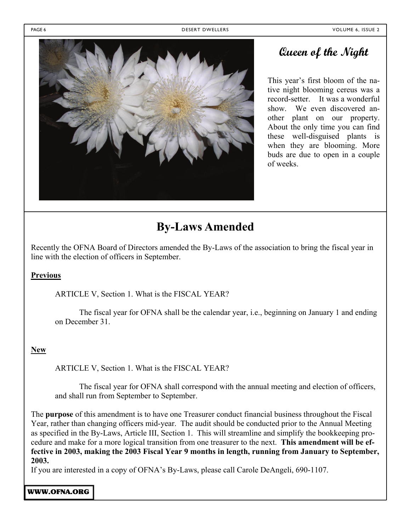PAGE 6 DESERT DWELLERS VOLUME 6, ISSUE 2



#### **Queen of the Night**

This year's first bloom of the native night blooming cereus was a record-setter. It was a wonderful show. We even discovered another plant on our property. About the only time you can find these well-disguised plants is when they are blooming. More buds are due to open in a couple of weeks.

#### **By-Laws Amended**

Recently the OFNA Board of Directors amended the By-Laws of the association to bring the fiscal year in line with the election of officers in September.

#### **Previous**

ARTICLE V, Section 1. What is the FISCAL YEAR?

The fiscal year for OFNA shall be the calendar year, i.e., beginning on January 1 and ending on December 31.

#### **New**

ARTICLE V, Section 1. What is the FISCAL YEAR?

The fiscal year for OFNA shall correspond with the annual meeting and election of officers, and shall run from September to September.

The **purpose** of this amendment is to have one Treasurer conduct financial business throughout the Fiscal Year, rather than changing officers mid-year. The audit should be conducted prior to the Annual Meeting as specified in the By-Laws, Article III, Section 1. This will streamline and simplify the bookkeeping procedure and make for a more logical transition from one treasurer to the next. **This amendment will be effective in 2003, making the 2003 Fiscal Year 9 months in length, running from January to September, 2003.** 

If you are interested in a copy of OFNA's By-Laws, please call Carole DeAngeli, 690-1107.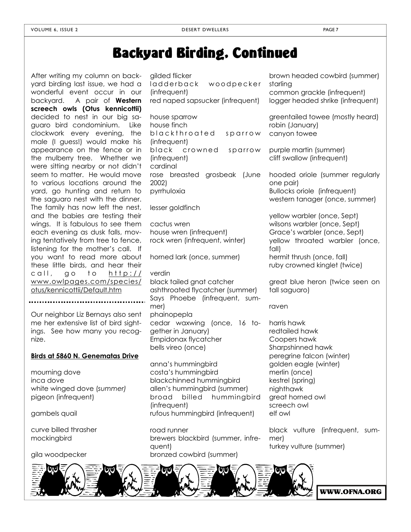## Backyard Birding, Continued

After writing my column on backyard birding last issue, we had a wonderful event occur in our backyard. A pair of **Western screech owls (Otus kennicottii)**  decided to nest in our big saguaro bird condominium. Like clockwork every evening, the male (I guess!) would make his appearance on the fence or in the mulberry tree. Whether we were sitting nearby or not didn't seem to matter. He would move to various locations around the yard, go hunting and return to the saguaro nest with the dinner. The family has now left the nest, and the babies are testing their wings. It is fabulous to see them each evening as dusk falls, moving tentatively from tree to fence, listening for the mother's call. If you want to read more about these little birds, and hear their call, go to http:// www.owlpages.com/species/ otus/kennicottii/Default.htm

Our neighbor Liz Bernays also sent me her extensive list of bird sightings. See how many you recognize.

.....................................

#### **Birds at 5860 N. Genematas Drive**

mourning dove inca dove white winged dove (*summer)* pigeon (infrequent)

gambels quail

curve billed thrasher mockingbird

gila woodpecker

gilded flicker ladderback woodpecker (infrequent) red naped sapsucker (infrequent) house sparrow house finch blackthroated sparrow (*linfrequent*) black crowned sparrow (infrequent) cardinal rose breasted grosbeak (June 2002) pyrrhuloxia lesser goldfinch cactus wren house wren (infrequent) rock wren (infrequent, winter) horned lark (once, summer)

verdin black tailed gnat catcher ashthroated flycatcher (summer) Says Phoebe (infrequent, summer) phainopepla cedar waxwing (once, 16 together in January) Empidonax flycatcher bells vireo (once)

anna's hummingbird costa's hummingbird blackchinned hummingbird allen's hummingbird (summer) broad billed hummingbird (infrequent) rufous hummingbird (infrequent)

road runner brewers blackbird (summer, infrequent) bronzed cowbird (summer)

brown headed cowbird (summer) starling common grackle (infrequent) logger headed shrike (infrequent)

greentailed towee (mostly heard) robin (January) canyon towee

purple martin (summer) cliff swallow (infrequent)

hooded oriole (summer regularly one pair) Bullocks oriole (infrequent) western tanager (once, summer)

yellow warbler (once, Sept) wilsons warbler (once, Sept) Grace's warbler (once, Sept) yellow throated warbler (once, fall) hermit thrush (once, fall) ruby crowned kinglet (twice)

great blue heron (twice seen on tall saguaro)

raven

harris hawk redtailed hawk Coopers hawk Sharpshinned hawk peregrine falcon (winter) golden eagle (winter) merlin (once) kestrel (spring) nighthawk great horned owl screech owl elf owl

black vulture (infrequent, summer) turkey vulture (summer)